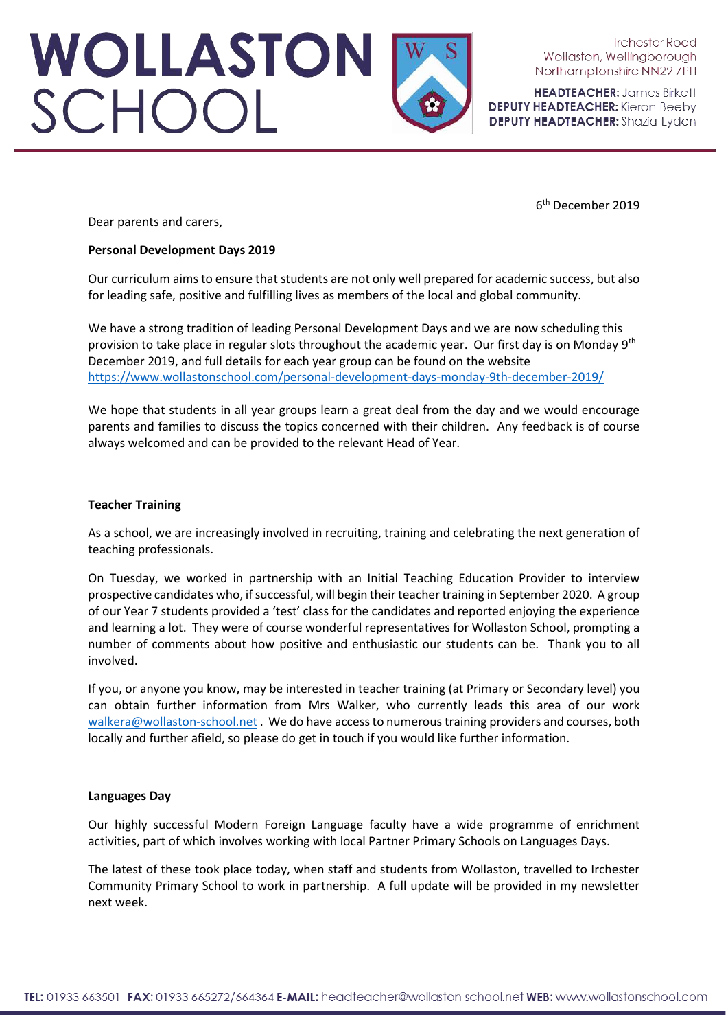# WOLLASTON<br>SCHOOL

**Irchester Road** Wollaston, Wellingborough Northamptonshire NN29 7PH

**HEADTEACHER: James Birkett DEPUTY HEADTEACHER:** Kieron Beeby **DEPUTY HEADTEACHER:** Shazia Lydon

Dear parents and carers,

# **Personal Development Days 2019**

Our curriculum aims to ensure that students are not only well prepared for academic success, but also for leading safe, positive and fulfilling lives as members of the local and global community.

We have a strong tradition of leading Personal Development Days and we are now scheduling this provision to take place in regular slots throughout the academic year. Our first day is on Monday  $9<sup>th</sup>$ December 2019, and full details for each year group can be found on the website <https://www.wollastonschool.com/personal-development-days-monday-9th-december-2019/>

We hope that students in all year groups learn a great deal from the day and we would encourage parents and families to discuss the topics concerned with their children. Any feedback is of course always welcomed and can be provided to the relevant Head of Year.

# **Teacher Training**

As a school, we are increasingly involved in recruiting, training and celebrating the next generation of teaching professionals.

On Tuesday, we worked in partnership with an Initial Teaching Education Provider to interview prospective candidates who, if successful, will begin their teacher training in September 2020. A group of our Year 7 students provided a 'test' class for the candidates and reported enjoying the experience and learning a lot. They were of course wonderful representatives for Wollaston School, prompting a number of comments about how positive and enthusiastic our students can be. Thank you to all involved.

If you, or anyone you know, may be interested in teacher training (at Primary or Secondary level) you can obtain further information from Mrs Walker, who currently leads this area of our work [walkera@wollaston-school.net .](mailto:walkera@wollaston-school.net) We do have access to numerous training providers and courses, both locally and further afield, so please do get in touch if you would like further information.

### **Languages Day**

Our highly successful Modern Foreign Language faculty have a wide programme of enrichment activities, part of which involves working with local Partner Primary Schools on Languages Days.

The latest of these took place today, when staff and students from Wollaston, travelled to Irchester Community Primary School to work in partnership. A full update will be provided in my newsletter next week.

6th December 2019